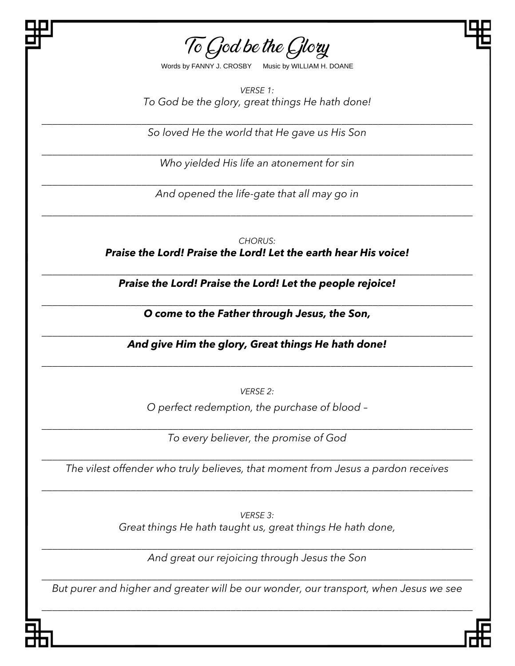To God be the Glory

Words by FANNY J. CROSBY Music by WILLIAM H. DOANE

*VERSE 1: To God be the glory, great things He hath done!*

*\_\_\_\_\_\_\_\_\_\_\_\_\_\_\_\_\_\_\_\_\_\_\_\_\_\_\_\_\_\_\_\_\_\_\_\_\_\_\_\_\_\_\_\_\_\_\_\_\_\_\_\_\_\_\_\_\_\_\_\_\_\_\_\_\_\_\_\_\_\_\_\_\_\_\_\_\_\_\_\_\_\_ So loved He the world that He gave us His Son*

*\_\_\_\_\_\_\_\_\_\_\_\_\_\_\_\_\_\_\_\_\_\_\_\_\_\_\_\_\_\_\_\_\_\_\_\_\_\_\_\_\_\_\_\_\_\_\_\_\_\_\_\_\_\_\_\_\_\_\_\_\_\_\_\_\_\_\_\_\_\_\_\_\_\_\_\_\_\_\_\_\_\_ Who yielded His life an atonement for sin*

*\_\_\_\_\_\_\_\_\_\_\_\_\_\_\_\_\_\_\_\_\_\_\_\_\_\_\_\_\_\_\_\_\_\_\_\_\_\_\_\_\_\_\_\_\_\_\_\_\_\_\_\_\_\_\_\_\_\_\_\_\_\_\_\_\_\_\_\_\_\_\_\_\_\_\_\_\_\_\_\_\_\_ And opened the life-gate that all may go in*

*\_\_\_\_\_\_\_\_\_\_\_\_\_\_\_\_\_\_\_\_\_\_\_\_\_\_\_\_\_\_\_\_\_\_\_\_\_\_\_\_\_\_\_\_\_\_\_\_\_\_\_\_\_\_\_\_\_\_\_\_\_\_\_\_\_\_\_\_\_\_\_\_\_\_\_\_\_\_\_\_\_\_*

*CHORUS: Praise the Lord! Praise the Lord! Let the earth hear His voice!*

*\_\_\_\_\_\_\_\_\_\_\_\_\_\_\_\_\_\_\_\_\_\_\_\_\_\_\_\_\_\_\_\_\_\_\_\_\_\_\_\_\_\_\_\_\_\_\_\_\_\_\_\_\_\_\_\_\_\_\_\_\_\_\_\_\_\_\_\_\_\_\_\_\_\_\_\_\_\_\_\_\_\_ Praise the Lord! Praise the Lord! Let the people rejoice!*

*\_\_\_\_\_\_\_\_\_\_\_\_\_\_\_\_\_\_\_\_\_\_\_\_\_\_\_\_\_\_\_\_\_\_\_\_\_\_\_\_\_\_\_\_\_\_\_\_\_\_\_\_\_\_\_\_\_\_\_\_\_\_\_\_\_\_\_\_\_\_\_\_\_\_\_\_\_\_\_\_\_\_ O come to the Father through Jesus, the Son,*

*\_\_\_\_\_\_\_\_\_\_\_\_\_\_\_\_\_\_\_\_\_\_\_\_\_\_\_\_\_\_\_\_\_\_\_\_\_\_\_\_\_\_\_\_\_\_\_\_\_\_\_\_\_\_\_\_\_\_\_\_\_\_\_\_\_\_\_\_\_\_\_\_\_\_\_\_\_\_\_\_\_\_ And give Him the glory, Great things He hath done!*

*\_\_\_\_\_\_\_\_\_\_\_\_\_\_\_\_\_\_\_\_\_\_\_\_\_\_\_\_\_\_\_\_\_\_\_\_\_\_\_\_\_\_\_\_\_\_\_\_\_\_\_\_\_\_\_\_\_\_\_\_\_\_\_\_\_\_\_\_\_\_\_\_\_\_\_\_\_\_\_\_\_\_*

*VERSE 2:*

*O perfect redemption, the purchase of blood –*

*\_\_\_\_\_\_\_\_\_\_\_\_\_\_\_\_\_\_\_\_\_\_\_\_\_\_\_\_\_\_\_\_\_\_\_\_\_\_\_\_\_\_\_\_\_\_\_\_\_\_\_\_\_\_\_\_\_\_\_\_\_\_\_\_\_\_\_\_\_\_\_\_\_\_\_\_\_\_\_\_\_\_ To every believer, the promise of God*

*\_\_\_\_\_\_\_\_\_\_\_\_\_\_\_\_\_\_\_\_\_\_\_\_\_\_\_\_\_\_\_\_\_\_\_\_\_\_\_\_\_\_\_\_\_\_\_\_\_\_\_\_\_\_\_\_\_\_\_\_\_\_\_\_\_\_\_\_\_\_\_\_\_\_\_\_\_\_\_\_\_\_ The vilest offender who truly believes, that moment from Jesus a pardon receives*

*\_\_\_\_\_\_\_\_\_\_\_\_\_\_\_\_\_\_\_\_\_\_\_\_\_\_\_\_\_\_\_\_\_\_\_\_\_\_\_\_\_\_\_\_\_\_\_\_\_\_\_\_\_\_\_\_\_\_\_\_\_\_\_\_\_\_\_\_\_\_\_\_\_\_\_\_\_\_\_\_\_\_*

*VERSE 3: Great things He hath taught us, great things He hath done,*

*\_\_\_\_\_\_\_\_\_\_\_\_\_\_\_\_\_\_\_\_\_\_\_\_\_\_\_\_\_\_\_\_\_\_\_\_\_\_\_\_\_\_\_\_\_\_\_\_\_\_\_\_\_\_\_\_\_\_\_\_\_\_\_\_\_\_\_\_\_\_\_\_\_\_\_\_\_\_\_\_\_\_ And great our rejoicing through Jesus the Son*

*\_\_\_\_\_\_\_\_\_\_\_\_\_\_\_\_\_\_\_\_\_\_\_\_\_\_\_\_\_\_\_\_\_\_\_\_\_\_\_\_\_\_\_\_\_\_\_\_\_\_\_\_\_\_\_\_\_\_\_\_\_\_\_\_\_\_\_\_\_\_\_\_\_\_\_\_\_\_\_\_\_\_ But purer and higher and greater will be our wonder, our transport, when Jesus we see*

*\_\_\_\_\_\_\_\_\_\_\_\_\_\_\_\_\_\_\_\_\_\_\_\_\_\_\_\_\_\_\_\_\_\_\_\_\_\_\_\_\_\_\_\_\_\_\_\_\_\_\_\_\_\_\_\_\_\_\_\_\_\_\_\_\_\_\_\_\_\_\_\_\_\_\_\_\_\_\_\_\_\_*